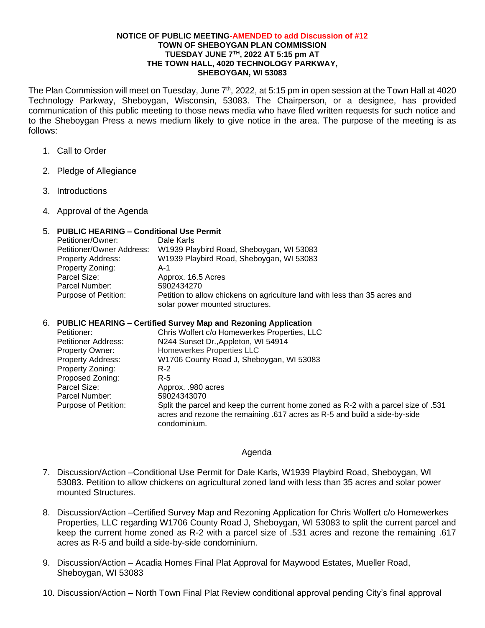#### **NOTICE OF PUBLIC MEETING-AMENDED to add Discussion of #12 TOWN OF SHEBOYGAN PLAN COMMISSION TUESDAY JUNE 7TH, 2022 AT 5:15 pm AT THE TOWN HALL, 4020 TECHNOLOGY PARKWAY, SHEBOYGAN, WI 53083**

The Plan Commission will meet on Tuesday, June 7<sup>th</sup>, 2022, at 5:15 pm in open session at the Town Hall at 4020 Technology Parkway, Sheboygan, Wisconsin, 53083. The Chairperson, or a designee, has provided communication of this public meeting to those news media who have filed written requests for such notice and to the Sheboygan Press a news medium likely to give notice in the area. The purpose of the meeting is as follows:

- 1. Call to Order
- 2. Pledge of Allegiance
- 3. Introductions
- 4. Approval of the Agenda

## 5. **PUBLIC HEARING – Conditional Use Permit**

| Petitioner/Owner:         | Dale Karls                                                                                                    |
|---------------------------|---------------------------------------------------------------------------------------------------------------|
| Petitioner/Owner Address: | W1939 Playbird Road, Sheboygan, WI 53083                                                                      |
| <b>Property Address:</b>  | W1939 Playbird Road, Sheboygan, WI 53083                                                                      |
| Property Zoning:          | $A-1$                                                                                                         |
| Parcel Size:              | Approx. 16.5 Acres                                                                                            |
| Parcel Number:            | 5902434270                                                                                                    |
| Purpose of Petition:      | Petition to allow chickens on agriculture land with less than 35 acres and<br>solar power mounted structures. |

### 6. **PUBLIC HEARING – Certified Survey Map and Rezoning Application**

| Petitioner:              | Chris Wolfert c/o Homewerkes Properties, LLC                                       |
|--------------------------|------------------------------------------------------------------------------------|
| Petitioner Address:      | N244 Sunset Dr., Appleton, WI 54914                                                |
| <b>Property Owner:</b>   | Homewerkes Properties LLC                                                          |
| <b>Property Address:</b> | W1706 County Road J, Sheboygan, WI 53083                                           |
| Property Zoning:         | $R-2$                                                                              |
| Proposed Zoning:         | R-5                                                                                |
| Parcel Size:             | Approx. .980 acres                                                                 |
| Parcel Number:           | 59024343070                                                                        |
| Purpose of Petition:     | Split the parcel and keep the current home zoned as R-2 with a parcel size of .531 |
|                          | acres and rezone the remaining .617 acres as R-5 and build a side-by-side          |
|                          | condominium.                                                                       |

### Agenda

- 7. Discussion/Action –Conditional Use Permit for Dale Karls, W1939 Playbird Road, Sheboygan, WI 53083. Petition to allow chickens on agricultural zoned land with less than 35 acres and solar power mounted Structures.
- 8. Discussion/Action –Certified Survey Map and Rezoning Application for Chris Wolfert c/o Homewerkes Properties, LLC regarding W1706 County Road J, Sheboygan, WI 53083 to split the current parcel and keep the current home zoned as R-2 with a parcel size of .531 acres and rezone the remaining .617 acres as R-5 and build a side-by-side condominium.
- 9. Discussion/Action Acadia Homes Final Plat Approval for Maywood Estates, Mueller Road, Sheboygan, WI 53083
- 10. Discussion/Action North Town Final Plat Review conditional approval pending City's final approval